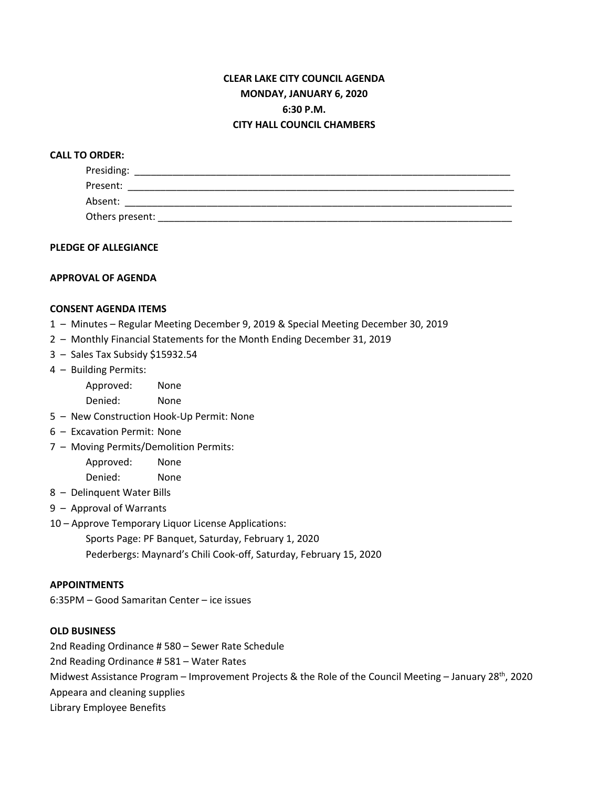# **CLEAR LAKE CITY COUNCIL AGENDA MONDAY, JANUARY 6, 2020 6:30 P.M. CITY HALL COUNCIL CHAMBERS**

### **CALL TO ORDER:**

| Presiding:      |  |
|-----------------|--|
| Present:        |  |
| Absent:         |  |
| Others present: |  |

### **PLEDGE OF ALLEGIANCE**

#### **APPROVAL OF AGENDA**

#### **CONSENT AGENDA ITEMS**

- 1 Minutes Regular Meeting December 9, 2019 & Special Meeting December 30, 2019
- 2 Monthly Financial Statements for the Month Ending December 31, 2019
- 3 Sales Tax Subsidy \$15932.54
- 4 Building Permits:

Approved: None Denied: None

- 5 New Construction Hook-Up Permit: None
- 6 Excavation Permit: None
- 7 Moving Permits/Demolition Permits:

Approved: None Denied: None

- 8 Delinquent Water Bills
- 9 Approval of Warrants
- 10 Approve Temporary Liquor License Applications:

Sports Page: PF Banquet, Saturday, February 1, 2020 Pederbergs: Maynard's Chili Cook-off, Saturday, February 15, 2020

### **APPOINTMENTS**

6:35PM – Good Samaritan Center – ice issues

#### **OLD BUSINESS**

2nd Reading Ordinance # 580 – Sewer Rate Schedule

2nd Reading Ordinance # 581 – Water Rates

Midwest Assistance Program – Improvement Projects & the Role of the Council Meeting – January 28<sup>th</sup>, 2020

Appeara and cleaning supplies

Library Employee Benefits